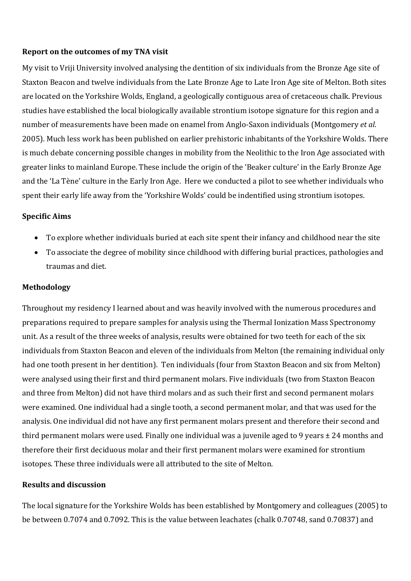## **Report on the outcomes of my TNA visit**

My visit to Vriji University involved analysing the dentition of six individuals from the Bronze Age site of Staxton Beacon and twelve individuals from the Late Bronze Age to Late Iron Age site of Melton. Both sites are located on the Yorkshire Wolds, England, a geologically contiguous area of cretaceous chalk. Previous studies have established the local biologically available strontium isotope signature for this region and a number of measurements have been made on enamel from Anglo-Saxon individuals (Montgomery *et al.*) 2005). Much less work has been published on earlier prehistoric inhabitants of the Yorkshire Wolds. There is much debate concerning possible changes in mobility from the Neolithic to the Iron Age associated with greater links to mainland Europe. These include the origin of the 'Beaker culture' in the Early Bronze Age and the 'La Tène' culture in the Early Iron Age. Here we conducted a pilot to see whether individuals who spent their early life away from the 'Yorkshire Wolds' could be indentified using strontium isotopes.

### **Specific Aims**

- To explore whether individuals buried at each site spent their infancy and childhood near the site
- To associate the degree of mobility since childhood with differing burial practices, pathologies and traumas and diet.

## **Methodology**

Throughout my residency I learned about and was heavily involved with the numerous procedures and preparations required to prepare samples for analysis using the Thermal Ionization Mass Spectronomy unit. As a result of the three weeks of analysis, results were obtained for two teeth for each of the six individuals from Staxton Beacon and eleven of the individuals from Melton (the remaining individual only had one tooth present in her dentition). Ten individuals (four from Staxton Beacon and six from Melton) were analysed using their first and third permanent molars. Five individuals (two from Staxton Beacon and three from Melton) did not have third molars and as such their first and second permanent molars were examined. One individual had a single tooth, a second permanent molar, and that was used for the analysis. One individual did not have any first permanent molars present and therefore their second and third permanent molars were used. Finally one individual was a juvenile aged to 9 years  $\pm$  24 months and therefore their first deciduous molar and their first permanent molars were examined for strontium isotopes. These three individuals were all attributed to the site of Melton.

#### **Results and discussion**

The local signature for the Yorkshire Wolds has been established by Montgomery and colleagues (2005) to be between 0.7074 and 0.7092. This is the value between leachates (chalk 0.70748, sand 0.70837) and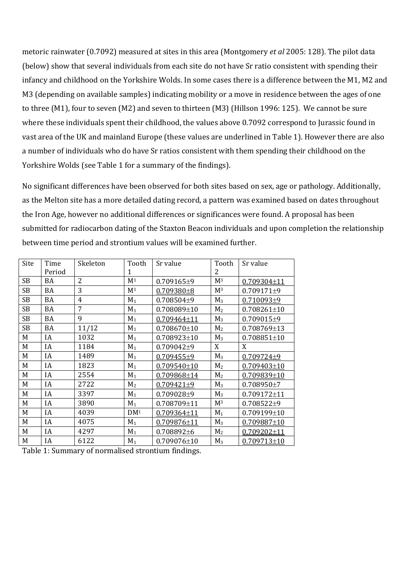metoric rainwater (0.7092) measured at sites in this area (Montgomery *et al* 2005: 128). The pilot data (below) show that several individuals from each site do not have Sr ratio consistent with spending their infancy and childhood on the Yorkshire Wolds. In some cases there is a difference between the M1, M2 and M3 (depending on available samples) indicating mobility or a move in residence between the ages of one to three  $(M1)$ , four to seven  $(M2)$  and seven to thirteen  $(M3)$  (Hillson 1996: 125). We cannot be sure where these individuals spent their childhood, the values above 0.7092 correspond to Jurassic found in vast area of the UK and mainland Europe (these values are underlined in Table 1). However there are also a number of individuals who do have Sr ratios consistent with them spending their childhood on the Yorkshire Wolds (see Table 1 for a summary of the findings).

No significant differences have been observed for both sites based on sex, age or pathology. Additionally, as the Melton site has a more detailed dating record, a pattern was examined based on dates throughout the Iron Age, however no additional differences or significances were found. A proposal has been submitted for radiocarbon dating of the Staxton Beacon individuals and upon completion the relationship between time period and strontium values will be examined further.

| Site      | Time      | Skeleton       | Tooth           | Sr value          | Tooth          | Sr value          |
|-----------|-----------|----------------|-----------------|-------------------|----------------|-------------------|
|           | Period    |                | 1               |                   | 2              |                   |
| <b>SB</b> | BA        | $\overline{2}$ | M <sup>1</sup>  | 0.709165±9        | M <sup>3</sup> | $0.709304 \pm 11$ |
| <b>SB</b> | BA        | 3              | M <sup>1</sup>  | $0.709380 \pm 8$  | M <sup>3</sup> | $0.709171\pm9$    |
| <b>SB</b> | BA        | $\overline{4}$ | $M_1$           | $0.708504\pm9$    | $M_3$          | 0.710093±9        |
| <b>SB</b> | <b>BA</b> | 7              | $M_1$           | $0.708089 \pm 10$ | M <sub>2</sub> | $0.708261 \pm 10$ |
| <b>SB</b> | BA        | 9              | $M_1$           | $0.709464 \pm 11$ | $M_3$          | 0.709015±9        |
| <b>SB</b> | <b>BA</b> | 11/12          | $M_1$           | $0.708670 \pm 10$ | M <sub>2</sub> | $0.708769 \pm 13$ |
| M         | IA        | 1032           | $M_1$           | $0.708923 \pm 10$ | $M_3$          | $0.708851 \pm 10$ |
| M         | IA        | 1184           | $M_1$           | $0.709042\pm9$    | X              | X                 |
| M         | IA        | 1489           | $M_1$           | $0.709455 + 9$    | $M_3$          | $0.709724 + 9$    |
| M         | IA        | 1823           | $M_1$           | $0.709540 \pm 10$ | M <sub>2</sub> | $0.709403 \pm 10$ |
| M         | IA        | 2554           | $M_1$           | $0.709868 \pm 14$ | M <sub>2</sub> | $0.709839 \pm 10$ |
| M         | IA        | 2722           | M <sub>2</sub>  | $0.709421 \pm 9$  | $M_3$          | $0.708950 \pm 7$  |
| M         | IA        | 3397           | $M_1$           | $0.709028 + 9$    | $M_3$          | $0.709172 \pm 11$ |
| M         | IA        | 3890           | $M_1$           | $0.708709 \pm 11$ | M <sup>3</sup> | $0.708522\pm9$    |
| M         | IA        | 4039           | DM <sup>1</sup> | $0.709364 \pm 11$ | $M_1$          | $0.709199 \pm 10$ |
| M         | IA        | 4075           | $M_1$           | $0.709876 \pm 11$ | $M_3$          | $0.709887 \pm 10$ |
| M         | IA        | 4297           | $M_1$           | $0.708892\pm 6$   | M <sub>2</sub> | $0.709202 \pm 11$ |
| M         | IA        | 6122           | $M_1$           | $0.709076 \pm 10$ | $M_3$          | $0.709713 \pm 10$ |

Table 1: Summary of normalised strontium findings.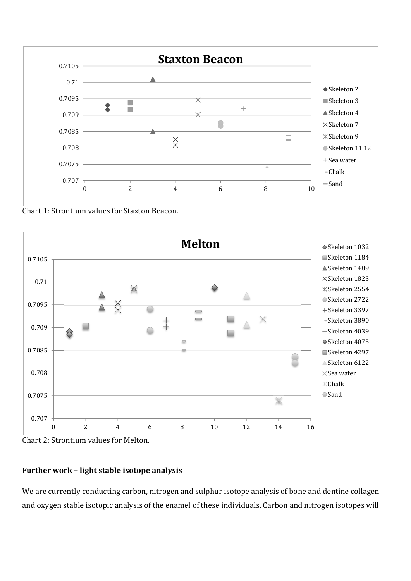

Chart 1: Strontium values for Staxton Beacon.



Chart 2: Strontium values for Melton.

## **Further work – light stable isotope analysis**

We are currently conducting carbon, nitrogen and sulphur isotope analysis of bone and dentine collagen and oxygen stable isotopic analysis of the enamel of these individuals. Carbon and nitrogen isotopes will